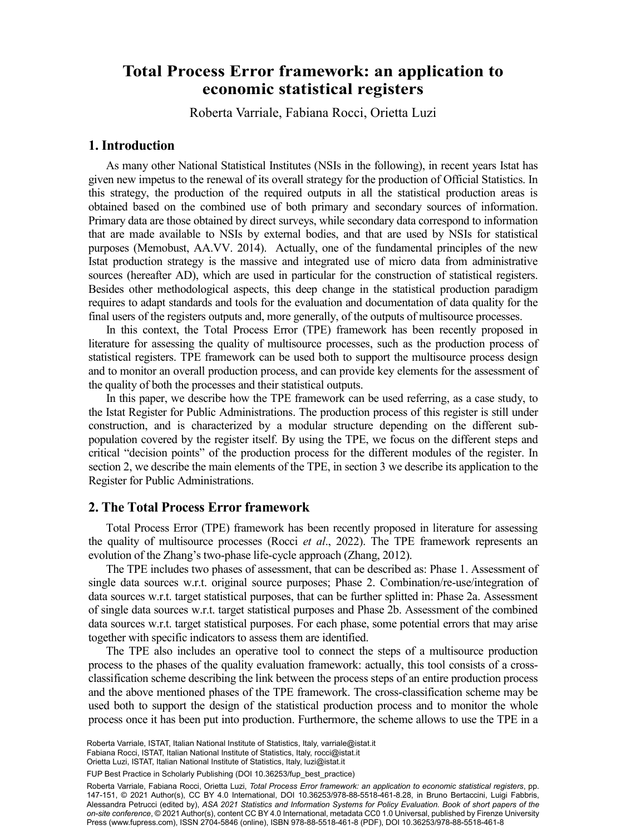# **Total Process Error framework: an application to** Roberta Varrialea , Fabiana Roccia , Orietta Luzia **economic statistical registers**

Roberta Varriale, Fabiana Rocci, Orietta Luzi

#### **1. Introduction**

As many other National Statistical Institutes (NSIs in the following), in recent years Istat has given new impetus to the renewal of its overall strategy for the production of Official Statistics. In this strategy, the production of the required outputs in all the statistical production areas is obtained based on the combined use of both primary and secondary sources of information. Primary data are those obtained by direct surveys, while secondary data correspond to information that are made available to NSIs by external bodies, and that are used by NSIs for statistical purposes (Memobust, AA.VV. 2014). Actually, one of the fundamental principles of the new Istat production strategy is the massive and integrated use of micro data from administrative sources (hereafter AD), which are used in particular for the construction of statistical registers. Besides other methodological aspects, this deep change in the statistical production paradigm requires to adapt standards and tools for the evaluation and documentation of data quality for the final users of the registers outputs and, more generally, of the outputs of multisource processes.

In this context, the Total Process Error (TPE) framework has been recently proposed in literature for assessing the quality of multisource processes, such as the production process of statistical registers. TPE framework can be used both to support the multisource process design and to monitor an overall production process, and can provide key elements for the assessment of the quality of both the processes and their statistical outputs.

In this paper, we describe how the TPE framework can be used referring, as a case study, to the Istat Register for Public Administrations. The production process of this register is still under construction, and is characterized by a modular structure depending on the different subpopulation covered by the register itself. By using the TPE, we focus on the different steps and critical "decision points" of the production process for the different modules of the register. In section 2, we describe the main elements of the TPE, in section 3 we describe its application to the Register for Public Administrations.

#### **2. The Total Process Error framework**

Total Process Error (TPE) framework has been recently proposed in literature for assessing the quality of multisource processes (Rocci *et al*., 2022). The TPE framework represents an evolution of the Zhang's two-phase life-cycle approach (Zhang, 2012).

The TPE includes two phases of assessment, that can be described as: Phase 1. Assessment of single data sources w.r.t. original source purposes; Phase 2. Combination/re-use/integration of data sources w.r.t. target statistical purposes, that can be further splitted in: Phase 2a. Assessment of single data sources w.r.t. target statistical purposes and Phase 2b. Assessment of the combined data sources w.r.t. target statistical purposes. For each phase, some potential errors that may arise together with specific indicators to assess them are identified.

The TPE also includes an operative tool to connect the steps of a multisource production process to the phases of the quality evaluation framework: actually, this tool consists of a crossclassification scheme describing the link between the process steps of an entire production process and the above mentioned phases of the TPE framework. The cross-classification scheme may be used both to support the design of the statistical production process and to monitor the whole process once it has been put into production. Furthermore, the scheme allows to use the TPE in a

FUP Best Practice in Scholarly Publishing (DOI [10.36253/fup\\_best\\_practice](https://doi.org/10.36253/fup_best_practice))

Roberta Varriale, Fabiana Rocci, Orietta Luzi, *Total Process Error framework: an application to economic statistical registers*, pp. 147-151, © 2021 Author(s), [CC BY 4.0 International,](http://creativecommons.org/licenses/by/4.0/legalcode) DOI [10.36253/978-88-5518-461-8.28](https://doi.org/10.36253/978-88-5518-461-8.28), in Bruno Bertaccini, Luigi Fabbris, Alessandra Petrucci (edited by), *ASA 2021 Statistics and Information Systems for Policy Evaluation. Book of short papers of the on-site conference*, © 2021 Author(s), content [CC BY 4.0 International,](http://creativecommons.org/licenses/by/4.0/legalcode) metadata [CC0 1.0 Universal](https://creativecommons.org/publicdomain/zero/1.0/legalcode), published by Firenze University Press [\(www.fupress.com\)](http://www.fupress.com), ISSN 2704-5846 (online), ISBN 978-88-5518-461-8 (PDF), DOI [10.36253/978-88-5518-461-8](https://doi.org/10.36253/978-88-5518-461-8)

Roberta Varriale, ISTAT, Italian National Institute of Statistics, Italy, [varriale@istat.it](mailto:varriale@istat.it) Fabiana Rocci, ISTAT, Italian National Institute of Statistics, Italy, [rocci@istat.it](mailto:rocci@istat.it) Orietta Luzi, ISTAT, Italian National Institute of Statistics, Italy, [luzi@istat.it](mailto:luzi@istat.it)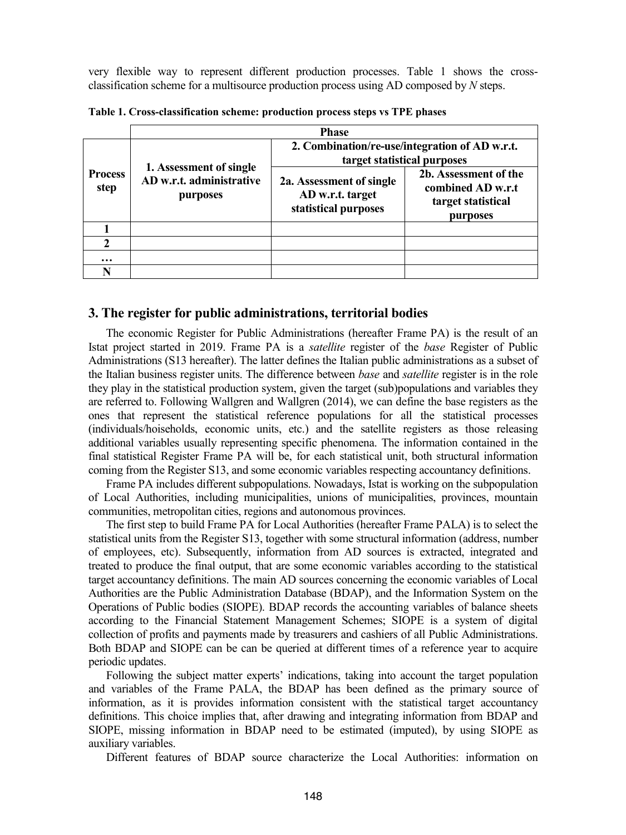very flexible way to represent different production processes. Table 1 shows the crossclassification scheme for a multisource production process using AD composed by *N* steps.

|                        | <b>Phase</b>                                                    |                                                                               |                                                                              |  |  |
|------------------------|-----------------------------------------------------------------|-------------------------------------------------------------------------------|------------------------------------------------------------------------------|--|--|
| <b>Process</b><br>step | 1. Assessment of single<br>AD w.r.t. administrative<br>purposes | 2. Combination/re-use/integration of AD w.r.t.<br>target statistical purposes |                                                                              |  |  |
|                        |                                                                 | 2a. Assessment of single<br>AD w.r.t. target<br>statistical purposes          | 2b. Assessment of the<br>combined AD w.r.t<br>target statistical<br>purposes |  |  |
|                        |                                                                 |                                                                               |                                                                              |  |  |
|                        |                                                                 |                                                                               |                                                                              |  |  |
| $\ddotsc$              |                                                                 |                                                                               |                                                                              |  |  |
|                        |                                                                 |                                                                               |                                                                              |  |  |

**Table 1. Cross-classification scheme: production process steps vs TPE phases**

#### **3. The register for public administrations, territorial bodies**

The economic Register for Public Administrations (hereafter Frame PA) is the result of an Istat project started in 2019. Frame PA is a *satellite* register of the *base* Register of Public Administrations (S13 hereafter). The latter defines the Italian public administrations as a subset of the Italian business register units. The difference between *base* and *satellite* register is in the role they play in the statistical production system, given the target (sub)populations and variables they are referred to. Following Wallgren and Wallgren (2014), we can define the base registers as the ones that represent the statistical reference populations for all the statistical processes (individuals/hoiseholds, economic units, etc.) and the satellite registers as those releasing additional variables usually representing specific phenomena. The information contained in the final statistical Register Frame PA will be, for each statistical unit, both structural information coming from the Register S13, and some economic variables respecting accountancy definitions.

Frame PA includes different subpopulations. Nowadays, Istat is working on the subpopulation of Local Authorities, including municipalities, unions of municipalities, provinces, mountain communities, metropolitan cities, regions and autonomous provinces.

The first step to build Frame PA for Local Authorities (hereafter Frame PALA) is to select the statistical units from the Register S13, together with some structural information (address, number of employees, etc). Subsequently, information from AD sources is extracted, integrated and treated to produce the final output, that are some economic variables according to the statistical target accountancy definitions. The main AD sources concerning the economic variables of Local Authorities are the Public Administration Database (BDAP), and the Information System on the Operations of Public bodies (SIOPE). BDAP records the accounting variables of balance sheets according to the Financial Statement Management Schemes; SIOPE is a system of digital collection of profits and payments made by treasurers and cashiers of all Public Administrations. Both BDAP and SIOPE can be can be queried at different times of a reference year to acquire periodic updates.

Following the subject matter experts' indications, taking into account the target population and variables of the Frame PALA, the BDAP has been defined as the primary source of information, as it is provides information consistent with the statistical target accountancy definitions. This choice implies that, after drawing and integrating information from BDAP and SIOPE, missing information in BDAP need to be estimated (imputed), by using SIOPE as auxiliary variables.

Different features of BDAP source characterize the Local Authorities: information on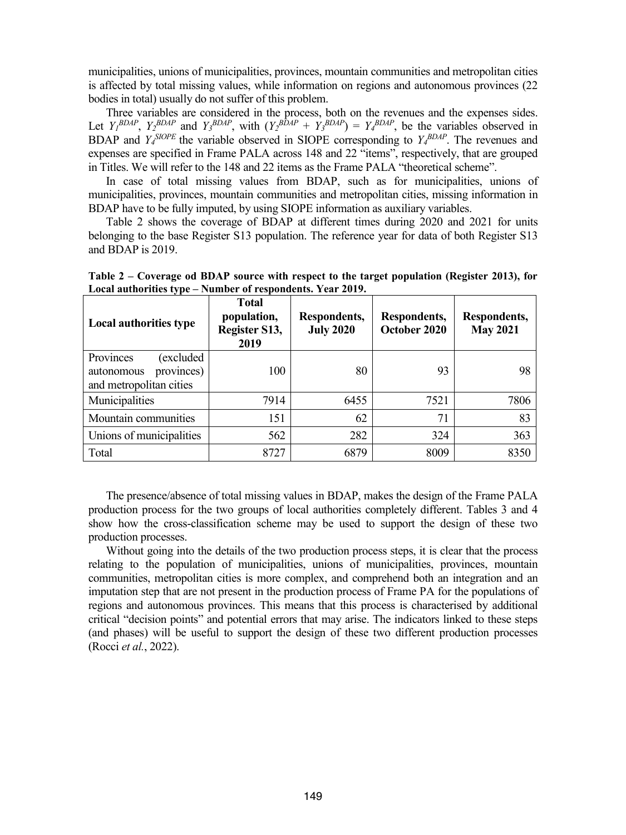municipalities, unions of municipalities, provinces, mountain communities and metropolitan cities is affected by total missing values, while information on regions and autonomous provinces (22 bodies in total) usually do not suffer of this problem.

Three variables are considered in the process, both on the revenues and the expenses sides. Let  $Y_1^{BDAP}$ ,  $Y_2^{BDAP}$  and  $Y_3^{BDAP}$ , with  $(Y_2^{BDAP} + Y_3^{BDAP}) = Y_4^{BDAP}$ , be the variables observed in BDAP and  $Y_4^{SIOPE}$  the variable observed in SIOPE corresponding to  $Y_4^{BDAP}$ . The revenues and expenses are specified in Frame PALA across 148 and 22 "items", respectively, that are grouped in Titles. We will refer to the 148 and 22 items as the Frame PALA "theoretical scheme".

In case of total missing values from BDAP, such as for municipalities, unions of municipalities, provinces, mountain communities and metropolitan cities, missing information in BDAP have to be fully imputed, by using SIOPE information as auxiliary variables.

Table 2 shows the coverage of BDAP at different times during 2020 and 2021 for units belonging to the base Register S13 population. The reference year for data of both Register S13 and BDAP is 2019.

**Table 2 – Coverage od BDAP source with respect to the target population (Register 2013), for Local authorities type – Number of respondents. Year 2019.**

| Local authorities type                                                       | <b>Total</b><br>population,<br>Register S13,<br>2019 | Respondents,<br><b>July 2020</b> | Respondents,<br>October 2020 | Respondents,<br><b>May 2021</b> |
|------------------------------------------------------------------------------|------------------------------------------------------|----------------------------------|------------------------------|---------------------------------|
| Provinces<br>excluded<br>provinces)<br>autonomous<br>and metropolitan cities | 100                                                  | 80                               | 93                           | 98                              |
| Municipalities                                                               | 7914                                                 | 6455                             | 7521                         | 7806                            |
| Mountain communities                                                         | 151                                                  | 62                               | 71                           | 83                              |
| Unions of municipalities                                                     | 562                                                  | 282                              | 324                          | 363                             |
| Total                                                                        | 8727                                                 | 6879                             | 8009                         | 8350                            |

The presence/absence of total missing values in BDAP, makes the design of the Frame PALA production process for the two groups of local authorities completely different. Tables 3 and 4 show how the cross-classification scheme may be used to support the design of these two production processes.

Without going into the details of the two production process steps, it is clear that the process relating to the population of municipalities, unions of municipalities, provinces, mountain communities, metropolitan cities is more complex, and comprehend both an integration and an imputation step that are not present in the production process of Frame PA for the populations of regions and autonomous provinces. This means that this process is characterised by additional critical "decision points" and potential errors that may arise. The indicators linked to these steps (and phases) will be useful to support the design of these two different production processes (Rocci *et al.*, 2022).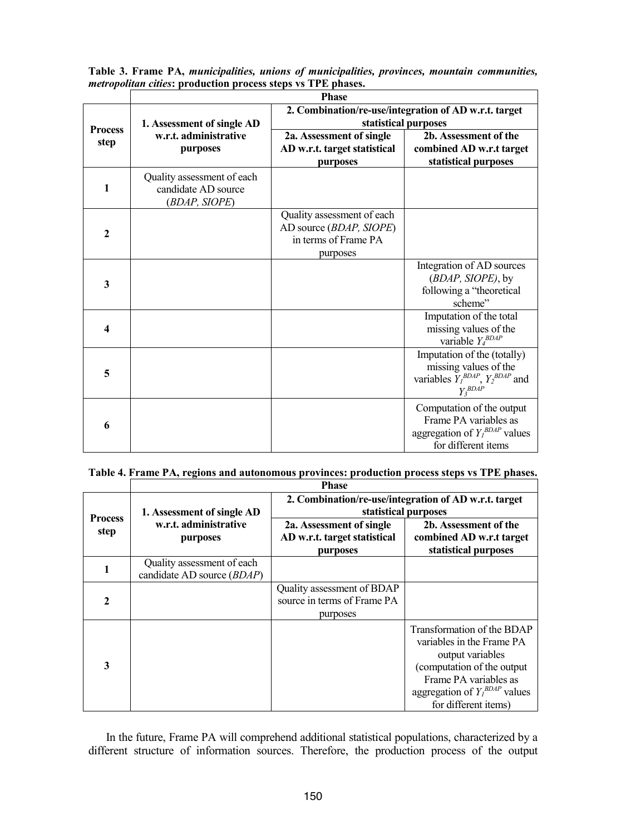|                | <b>Phase</b>                                                                                                |                                                                                           |                                                                                                                   |  |  |
|----------------|-------------------------------------------------------------------------------------------------------------|-------------------------------------------------------------------------------------------|-------------------------------------------------------------------------------------------------------------------|--|--|
| <b>Process</b> | 2. Combination/re-use/integration of AD w.r.t. target<br>statistical purposes<br>1. Assessment of single AD |                                                                                           |                                                                                                                   |  |  |
| step           | w.r.t. administrative<br>purposes                                                                           | 2a. Assessment of single<br>AD w.r.t. target statistical<br>purposes                      | 2b. Assessment of the<br>combined AD w.r.t target<br>statistical purposes                                         |  |  |
| 1              | Quality assessment of each<br>candidate AD source<br>(BDAP, SIOPE)                                          |                                                                                           |                                                                                                                   |  |  |
| $\mathbf{2}$   |                                                                                                             | Quality assessment of each<br>AD source (BDAP, SIOPE)<br>in terms of Frame PA<br>purposes |                                                                                                                   |  |  |
| 3              |                                                                                                             |                                                                                           | Integration of AD sources<br>(BDAP, SIOPE), by<br>following a "theoretical<br>scheme"                             |  |  |
| 4              |                                                                                                             |                                                                                           | Imputation of the total<br>missing values of the<br>variable $Y_4^{BDAP}$                                         |  |  |
| 5              |                                                                                                             |                                                                                           | Imputation of the (totally)<br>missing values of the<br>variables $Y_I^{BDAP}$ , $Y_2^{BDAP}$ and<br>$Y_3^{BDAP}$ |  |  |
| 6              |                                                                                                             |                                                                                           | Computation of the output<br>Frame PA variables as<br>aggregation of $Y_I^{BDAP}$ values<br>for different items   |  |  |

**Table 3. Frame PA,** *municipalities, unions of municipalities, provinces, mountain communities, metropolitan cities***: production process steps vs TPE phases.**

## **Table 4. Frame PA, regions and autonomous provinces: production process steps vs TPE phases.**

|                        | <b>Phase</b>                                                      |                                                                               |                                                                                                                                                                                                  |  |
|------------------------|-------------------------------------------------------------------|-------------------------------------------------------------------------------|--------------------------------------------------------------------------------------------------------------------------------------------------------------------------------------------------|--|
| <b>Process</b><br>step | 1. Assessment of single AD                                        | 2. Combination/re-use/integration of AD w.r.t. target<br>statistical purposes |                                                                                                                                                                                                  |  |
|                        | w.r.t. administrative<br>purposes                                 | 2a. Assessment of single<br>AD w.r.t. target statistical<br>purposes          | 2b. Assessment of the<br>combined AD w.r.t target<br>statistical purposes                                                                                                                        |  |
|                        | Quality assessment of each<br>candidate AD source ( <i>BDAP</i> ) |                                                                               |                                                                                                                                                                                                  |  |
| 2                      |                                                                   | Quality assessment of BDAP<br>source in terms of Frame PA<br>purposes         |                                                                                                                                                                                                  |  |
| 3                      |                                                                   |                                                                               | Transformation of the BDAP<br>variables in the Frame PA<br>output variables<br>(computation of the output<br>Frame PA variables as<br>aggregation of $Y_I^{BDAP}$ values<br>for different items) |  |

In the future, Frame PA will comprehend additional statistical populations, characterized by a different structure of information sources. Therefore, the production process of the output